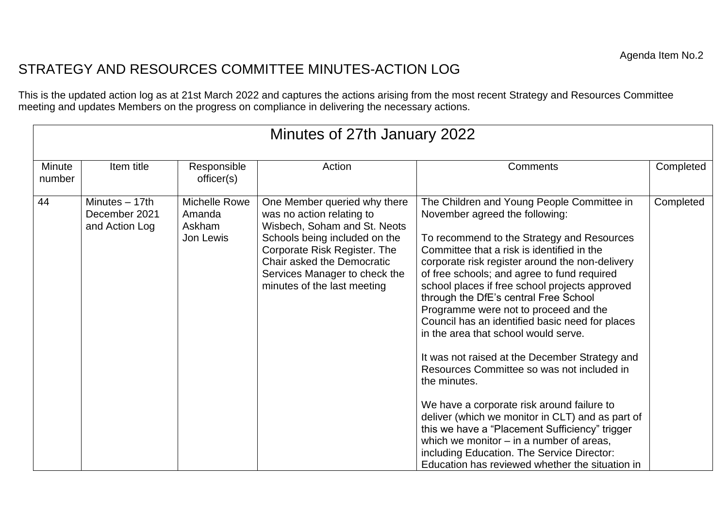## STRATEGY AND RESOURCES COMMITTEE MINUTES-ACTION LOG

This is the updated action log as at 21st March 2022 and captures the actions arising from the most recent Strategy and Resources Committee meeting and updates Members on the progress on compliance in delivering the necessary actions.

| Minutes of 27th January 2022 |                                                     |                                                       |                                                                                                                                                                                                                                                          |                                                                                                                                                                                                                                                                                                                                                                                                                                                                                                                                                                                                                                                                                                                                                                                                                                                                                                                              |           |  |  |  |  |  |
|------------------------------|-----------------------------------------------------|-------------------------------------------------------|----------------------------------------------------------------------------------------------------------------------------------------------------------------------------------------------------------------------------------------------------------|------------------------------------------------------------------------------------------------------------------------------------------------------------------------------------------------------------------------------------------------------------------------------------------------------------------------------------------------------------------------------------------------------------------------------------------------------------------------------------------------------------------------------------------------------------------------------------------------------------------------------------------------------------------------------------------------------------------------------------------------------------------------------------------------------------------------------------------------------------------------------------------------------------------------------|-----------|--|--|--|--|--|
| Minute<br>number             | Item title                                          | Responsible<br>officer(s)                             | Action                                                                                                                                                                                                                                                   | Comments                                                                                                                                                                                                                                                                                                                                                                                                                                                                                                                                                                                                                                                                                                                                                                                                                                                                                                                     | Completed |  |  |  |  |  |
| 44                           | Minutes $-17$ th<br>December 2021<br>and Action Log | <b>Michelle Rowe</b><br>Amanda<br>Askham<br>Jon Lewis | One Member queried why there<br>was no action relating to<br>Wisbech, Soham and St. Neots<br>Schools being included on the<br>Corporate Risk Register. The<br>Chair asked the Democratic<br>Services Manager to check the<br>minutes of the last meeting | The Children and Young People Committee in<br>November agreed the following:<br>To recommend to the Strategy and Resources<br>Committee that a risk is identified in the<br>corporate risk register around the non-delivery<br>of free schools; and agree to fund required<br>school places if free school projects approved<br>through the DfE's central Free School<br>Programme were not to proceed and the<br>Council has an identified basic need for places<br>in the area that school would serve.<br>It was not raised at the December Strategy and<br>Resources Committee so was not included in<br>the minutes.<br>We have a corporate risk around failure to<br>deliver (which we monitor in CLT) and as part of<br>this we have a "Placement Sufficiency" trigger<br>which we monitor $-$ in a number of areas,<br>including Education. The Service Director:<br>Education has reviewed whether the situation in | Completed |  |  |  |  |  |